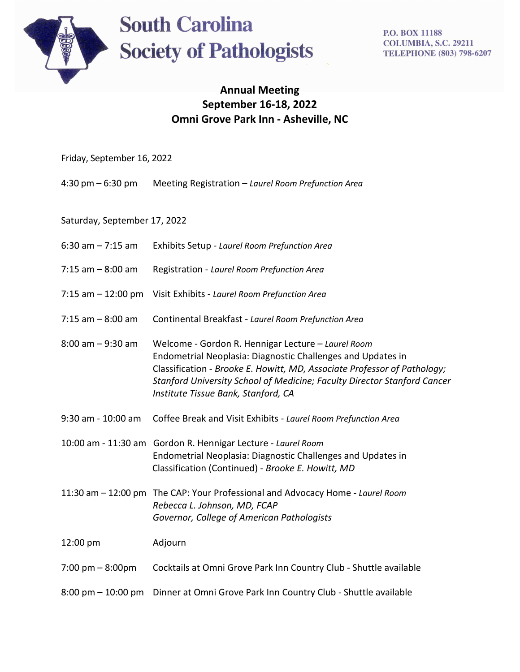

# **South Carolina Society of Pathologists**

**P.O. BOX 11188 COLUMBIA, S.C. 29211 TELEPHONE (803) 798-6207** 

## **Annual Meeting September 16-18, 2022 Omni Grove Park Inn - Asheville, NC**

| Friday, September 16, 2022 |  |
|----------------------------|--|
|                            |  |

4:30 pm – 6:30 pm Meeting Registration – *Laurel Room Prefunction Area*

Saturday, September 17, 2022

- 6:30 am 7:15 am Exhibits Setup *Laurel Room Prefunction Area*
- 7:15 am 8:00 am Registration *Laurel Room Prefunction Area*
- 7:15 am 12:00 pm Visit Exhibits *Laurel Room Prefunction Area*
- 7:15 am 8:00 am Continental Breakfast *Laurel Room Prefunction Area*
- 8:00 am 9:30 am Welcome Gordon R. Hennigar Lecture *Laurel Room* Endometrial Neoplasia: Diagnostic Challenges and Updates in Classification - *Brooke E. Howitt, MD, Associate Professor of Pathology; Stanford University School of Medicine; Faculty Director Stanford Cancer Institute Tissue Bank, Stanford, CA*
- 9:30 am 10:00 am Coffee Break and Visit Exhibits *Laurel Room Prefunction Area*
- 10:00 am 11:30 am Gordon R. Hennigar Lecture *Laurel Room* Endometrial Neoplasia: Diagnostic Challenges and Updates in Classification (Continued) - *Brooke E. Howitt, MD*
- 11:30 am 12:00 pmThe CAP: Your Professional and Advocacy Home *Laurel Room Rebecca L. Johnson, MD, FCAP Governor, College of American Pathologists*

12:00 pm Adjourn

- 7:00 pm 8:00pm Cocktails at Omni Grove Park Inn Country Club Shuttle available
- 8:00 pm 10:00 pm Dinner at Omni Grove Park Inn Country Club Shuttle available